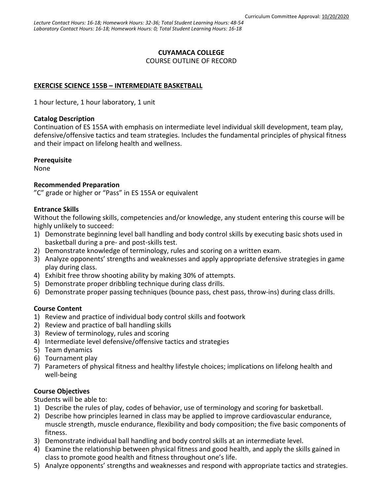#### **CUYAMACA COLLEGE**

COURSE OUTLINE OF RECORD

### **EXERCISE SCIENCE 155B – INTERMEDIATE BASKETBALL**

1 hour lecture, 1 hour laboratory, 1 unit

#### **Catalog Description**

Continuation of ES 155A with emphasis on intermediate level individual skill development, team play, defensive/offensive tactics and team strategies. Includes the fundamental principles of physical fitness and their impact on lifelong health and wellness.

#### **Prerequisite**

None

#### **Recommended Preparation**

"C" grade or higher or "Pass" in ES 155A or equivalent

#### **Entrance Skills**

Without the following skills, competencies and/or knowledge, any student entering this course will be highly unlikely to succeed:

- 1) Demonstrate beginning level ball handling and body control skills by executing basic shots used in basketball during a pre- and post-skills test.
- 2) Demonstrate knowledge of terminology, rules and scoring on a written exam.
- 3) Analyze opponents' strengths and weaknesses and apply appropriate defensive strategies in game play during class.
- 4) Exhibit free throw shooting ability by making 30% of attempts.
- 5) Demonstrate proper dribbling technique during class drills.
- 6) Demonstrate proper passing techniques (bounce pass, chest pass, throw-ins) during class drills.

### **Course Content**

- 1) Review and practice of individual body control skills and footwork
- 2) Review and practice of ball handling skills
- 3) Review of terminology, rules and scoring
- 4) Intermediate level defensive/offensive tactics and strategies
- 5) Team dynamics
- 6) Tournament play
- 7) Parameters of physical fitness and healthy lifestyle choices; implications on lifelong health and well-being

### **Course Objectives**

Students will be able to:

- 1) Describe the rules of play, codes of behavior, use of terminology and scoring for basketball.
- 2) Describe how principles learned in class may be applied to improve cardiovascular endurance, muscle strength, muscle endurance, flexibility and body composition; the five basic components of fitness.
- 3) Demonstrate individual ball handling and body control skills at an intermediate level.
- 4) Examine the relationship between physical fitness and good health, and apply the skills gained in class to promote good health and fitness throughout one's life.
- 5) Analyze opponents' strengths and weaknesses and respond with appropriate tactics and strategies.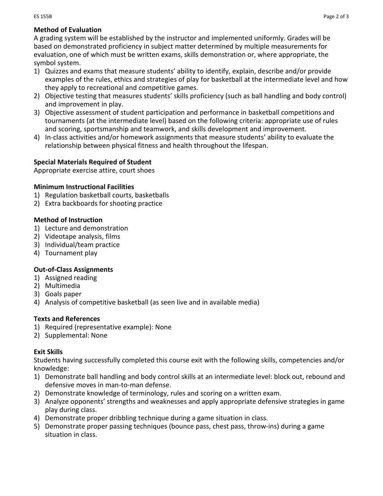## **Method of Evaluation**

A grading system will be established by the instructor and implemented uniformly. Grades will be based on demonstrated proficiency in subject matter determined by multiple measurements for evaluation, one of which must be written exams, skills demonstration or, where appropriate, the symbol system.

- 1) Quizzes and exams that measure students' ability to identify, explain, describe and/or provide examples of the rules, ethics and strategies of play for basketball at the intermediate level and how they apply to recreational and competitive games.
- 2) Objective testing that measures students' skills proficiency (such as ball handling and body control) and improvement in play.
- 3) Objective assessment of student participation and performance in basketball competitions and tournaments (at the intermediate level) based on the following criteria: appropriate use of rules and scoring, sportsmanship and teamwork, and skills development and improvement.
- 4) In-class activities and/or homework assignments that measure students' ability to evaluate the relationship between physical fitness and health throughout the lifespan.

## **Special Materials Required of Student**

Appropriate exercise attire, court shoes

### **Minimum Instructional Facilities**

- 1) Regulation basketball courts, basketballs
- 2) Extra backboards for shooting practice

## **Method of Instruction**

- 1) Lecture and demonstration
- 2) Videotape analysis, films
- 3) Individual/team practice
- 4) Tournament play

# **Out-of-Class Assignments**

- 1) Assigned reading
- 2) Multimedia
- 3) Goals paper
- 4) Analysis of competitive basketball (as seen live and in available media)

# **Texts and References**

- 1) Required (representative example): None
- 2) Supplemental: None

# **Exit Skills**

Students having successfully completed this course exit with the following skills, competencies and/or knowledge:

- 1) Demonstrate ball handling and body control skills at an intermediate level: block out, rebound and defensive moves in man-to-man defense.
- 2) Demonstrate knowledge of terminology, rules and scoring on a written exam.
- 3) Analyze opponents' strengths and weaknesses and apply appropriate defensive strategies in game play during class.
- 4) Demonstrate proper dribbling technique during a game situation in class.
- 5) Demonstrate proper passing techniques (bounce pass, chest pass, throw-ins) during a game situation in class.